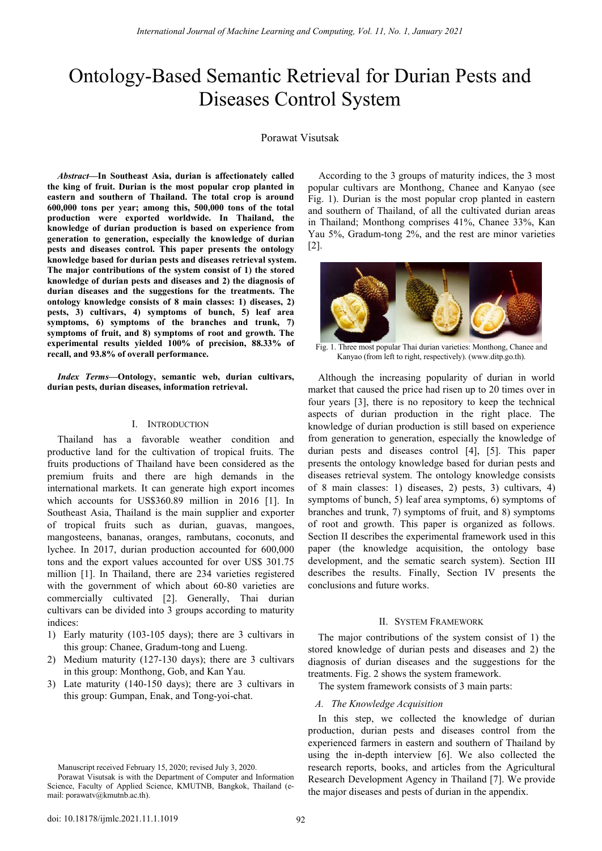# **Ontology-Based Semantic Retrieval for Di**<br>Diseases Control System<br>Porawat Visutsak<br>*Abstract*—In Southeast Asia, durian is affectionately called<br>king of fruit. Durian is the most popular crop planted in<br>the server; among *Learning and Computing, Vol. 11, No. 1, January 2021*<br> **iic Retrieval for Durian Pe**<br> **s Control System**<br>
Porawat Visutsak<br>
Ny called According to the 3 groups of maturity<br>
anted in popular cultivars are Monthong, Chane International Journal of Machine Learning and Computing, Vol. 11, No. 1, January 2021<br>
Ontology-Based Semantic Retrieval for Durian Pests and<br>
Diseases Control System<br>
Porawat Visutsak *Frame Searning and Computing, Vol. 11, No. 1, January 2021*<br> **Semantic Retrieval for Durian Pests and<br>
Diseases Control System<br>
Porawat Visutsak<br>
Porawat Visutsak<br>
Porawat Coroling to the 3 groups of maturity indices, the**

**Ontology-Based Semantic Retrieval for Dury**<br>Diseases Control System<br>Porawat Visutsak<br>Mostract—In Southeast Asia, durian is affectionately called According to the 3 groups<br>the king of fruit. Durian is the most popular crop **Contrology-Based Semantic Retrieval for D**<br> **Excess** Control System<br>
Porawat Visutsak<br> *Abstract*—In Southeast Asia, durian is affectionately called<br> *According to the 3 gthe source of plane arop planed in popular cultiva* **600,000 tons per year; among this, 500,000 tons of the total<br>persons per years and discussed in the stage of during the king of fruit. Durian is the most popular crop planted in caccording to the 3 grou<br>the king of fruit. production were exported worldwide. In Thailand, the** Thailand, Mosted by Gradum-ton were exported worldwide. In Thailand, the king of during meration of Thailand. The total crop is around exported worldwide. In Thailand, **Example 18 System**<br> **k hbstract—In Southeast Asia, durian is affectionately called**<br> **k h k king of fruit. Durian is the most popular crop planted in popular cultivars are Monthon, eastern and southern of Thailand EXECTED CONTROUT SY SECTAT**<br> **EXECTED SOME SET ASSEM**<br> **EXECTED SOME ASSEM**<br> **EXECTED SOME ASSEM**<br> **EXECTED ASSEM**<br> **EXECTED ASSEM**<br> **EXECTED ASSEM**<br> **EXECTED**<br> **EXECTED**<br> **EXECTED**<br> **EXECTED**<br> **EXECTED**<br> **EXECTED**<br> **EXEC performand Mathem Southeast Asia, durian is affectionately called** According to the 3 g the king of fruit. Durian is the most popular crop planted in popular cultivars are leastern and southern of Thailand. The total crop **knowledge based for durian pests and diseases and 2) the diseases and outlogy knowledge consists and diseases and a system and southern of Thailand. The total crop is around Fig. 1). Durian is the moto,000 tons per year; Porawat Visutsak**<br> **The king of fruit. Durian is the most popular crop planted in**<br> **The king of fruit. Durian is the most popular crop planted in**<br> **The mass of the store control of Thailand. The total crop is around** Fi **Abstract—In Southeast Asia, durian is affectionately called** According to the 3 groups<br>the king of fruit. Durian is the most popular crop planted in popular cultivars are Month<br>eastern and southern of Thailand. The total *dbstract***—In Southeast Asia, durian is affectionately called and the king of fruit. Durian is the most popular crop planted in popular cultivars are Mont exastern and southern of Thailand. The total crop is around Fig. 1** *Abstract***—In Southeast Asia, durian is affectionately called According to the 3 groups<br>the king of fruit. Durian is the most popular crop planted in popular cultivars are Montheastern and southern of Thailand. The total performation** is such that is a current in solution of the sing of fruit. Durian is the most popular crop planted in popular cultivars are Mon eastern and southern of Thailand. The total crop is around Fig. 1). Durian is Example of the manning the most popular compared to phanel and boothing and the most popular cultivars are into the exament and southern of Thailand, The total crop is around Fig. 1). Durian is the most  $600,000$  tons per **Exacter and southern or rinamant.** The total crop is around trip that and southern of Thailand,<br> **solo,000** tons per year; among this, 500,000 tons of the total in Thailand, the moving<br>
production were exported worldwide. brooduction were exported worldwide. In Thailand, the based on experience from a small synchrome in Thailand; Monthong com<br>generation to generation, especially the knowledge of durian  $\frac{5\%}{6}$ , Gradum-tong 2%, is<br>pests productionwere exported worldwide. In Thanand, the<br>knowledge of durian production is based on experience from<br>generation to generation, especially the knowledge of durian<br>pests and diseases control. This paper presents th **IFFERIM TO SET AND THE SET AND THE SET AND THE SET AND DESCRIPTION CONTAINS AND diseases control. This paper presents the ontology [2].**<br> **ISSN AND diseases and the suggestions for the treatments. The rise only contributi** From a cancel of durian pests and diseases retrieval system.<br>The major contributions of the system consist of 1) the stored<br>knowledge of durian pests and diseases and 2) the diagnosis of<br>durian diseases and the suggestions The million of the system and the system and the system and the system of the diagnosis of<br>durian diseases and the suggestions for the treatments. The<br>ontology knowledge consists of 8 main classes: 1) diseases, 2)<br>pests, 3 The music state of 8 main classes and the suggestions for the treatments. The seases: 1) diseases and the suits of 8 main classes in the branches and trunk, 7)<br>
States, 3) cultivars, 4) symptoms of the branches and trunk,

ontology knowledge consists of S man classes: 1) decases, 2)<br>sumptoms of the branches and trunk, 7)<br>symptoms of fruit, and 8) symptoms of the branches and trunk, 7)<br>symptoms of fruit, and 8) symptoms of root and growth. Th **Example 1.** INTRODUCTION<br> **Example 1998** Symptoms of the branches and trunk, 7) wear area<br> **Example 1998** Symptoms of the branches and trunk, 7)<br>
symptoms of fruit, and 8) symptoms of root and growth. The<br>
experimental r symptoms of Fuit, and 8) symptoms of root and growth. The<br>experimental results yielded 100% of precision, 88.33% of<br>recall, and 93.8% of overall performance.<br> *Index Terms*—Ontology, semantic web, durian cultivars,<br> *Inde* **Experimental results yielded 100% of precision, 88.33% of**<br> **Exparimental, and 93.8% of overall performance.**<br> **Exparimental market that caused (form** left to right<br> *Index Terms*—Ontology, semantic web, durian cultivars recall, and 93.8% of overall performance.<br> *Kanyo (from left to right, respectively are are to the to right, respectively are are to the controlling poperation retrieval.*<br> *Kanyo (from left to right, respectively are are Index Terms*—Ontology, semantic web, durian cultivars,<br>
durian pests, durian diseases, information retrieval.<br>
I. INTRODUCTION and the main supplier of durian produ<br>
I. INTRODUCTION and the main supplier of durian produ<br> *Index Terms*—Ontology, semantic web, durian cultivars,<br>
durian cultivars,<br>
durian pests, durian diseases, information retrieval.<br>
The interval caused the pr<br>
for the cultivation of tropical fruits. The durian productive durian pests, durian diseases, information refrieval.<br>
I. INTRODUCTION<br>
absorbers of durian production<br>
I. INTRODUCTION<br>
knowledge of durian production<br>
productive land for the cultivation of tropical fruits. The durian pe four years [3], there is no<br>aspects of durian produ<br>movelege of durian productive land for the cultivation of tropical fruits. The durian prests and disease<br>fruits productions of Thailand have been considered as the presen I. INTRODUCTION aspects of durian produc<br>productive land has a favorable weather condition and from generation to generation<br>productive land for the cultivation of tropical fruits. The durian pests and diseases<br>fruits prod I. INTRODUCTION<br>
I. INTRODUCTION<br>
I. INTRODUCTION<br>
I. INTRODUCTION<br>
In productive land for the cultivation of tropical fruits. The durian pests and dise<br>
fruits productions of Thailand have been considered as the presents Thailand has a favorable weather condition and from generation to generation,<br>productive land for the cultivation of tropical fruits. The durian pests and diseases co<br>fruits proteintion of Thailand have been considered as productive land for the cultivation of tropical fruits. The durian pests and diseases<br>fruits productions of Thailand have been considered as the presents the ontology knowl<br>premium fruits and three are high demands in the fruits productions of Thailand have been considered as the presents the ontology kno-<br>premium fruits and there are high demands in the diseases retrieval system.<br>international markets. It can generate high export incomes o indices: international markets. It can generate high export incomes of 8 main classes: 1) diseases,<br>which accounts for US\$360.89 million in 2016 [1]. In symptoms of bunch, 5) leaf area<br>Southeast Asia, Thailand is the main supplier change and the solution in 2016 [1]. In symptoms of but<br>theast Asia, Thailand is the main supplier and exporter branches and tru<br>tropical fruits such as durian, guavas, mangoes, of root and grosteens, bananas, oranges, ram Southeast Asia, Thailand is the main supplier and exporter branches and trunk, 7) sy<br>of tropical fruits such as durian, guavas, mangoes, of root and growth. This<br>mangostens, bananas, oranges, rambutans, coconuted, on 10 de tropical fruits such as durian, guavas, mangoes, of root and grow<br>gosteens, bananas, oranges, rambutans, coconuts, and Section II describe<br>ee. In 2017, durian production accounted for 600,000 paper (the know<br>and the export mangosteens, bananas, oranges, rambutans, coconuts, and Section II describes the experiment values are the sylem to solute of the cover US\$ 301.75 development, and the sematic sine million [1]. In Thailand, there are 234 v ee. In 2017, durian production accounted for 600,000 paper (th<br>
and the export values accounted for over US\$ 301.75 developm<br>
ion [1]. In Thailand, there are 234 varieties registered describes<br>
it the government of which a

- 
- 
- 

<span id="page-0-0"></span>

Somputing, Vol. 11, No. 1, January 2021<br>
According to the 3 groups of maturity indices, the 3 most<br>
pular cultivars are Monthong, Chance and Kanyao (see<br>
g. 1). Durian is the most popular crop planted in eastern<br>
a souther trieval for Durian Pests and<br>trol System<br>isutsak<br>According to the 3 groups of maturity indices, the 3 most<br>popular cultivars are Monthong, Chanee and Kanyao (see<br>Fig. 1). Durian is the most popular crop planted dirian area trieval for Durian Pests and<br>trol System<br>isutsak<br>According to the 3 groups of maturity indices, the 3 most<br>popular cultivars are Monthong, Chanee and Kanyao (see<br>Fig. 1). Durian is the most popular crop planted in eastern<br> trieval for Durian Pests and<br>trol System<br>isutsak<br>According to the 3 groups of maturity indices, the 3 most<br>popular cultivars are Monthong, Chanee and Kanyao (see<br>Fig. 1). Durian is the most popular crop planted in eastern<br> trieval for Durian Pests and<br>trol System<br>isutsak<br>According to the 3 groups of maturity indices, the 3 most<br>popular cultivars are Monthong, Chanee and Kanyao (see<br>Fig. 1). Durian is the most popular crop planted in eastern<br> Trol System<br>
Situsak<br>
According to the 3 groups of maturity indices, the 3 most<br>
popular cultivars are Monthong, Chanee and Kanyao (see<br>
Fig. 1). Durian is the most popular crop planted in eastern<br>
and southern of Thailand [2].



Fig. 1. Three most popular Thai durian varieties: Monthong, Chance and Kanyao (from left to right, respectively). (www.ditp.go.th).<br>Although the increasing popularity of durian in world market that caused the price had ris Fig. 1. Three most popular Thai durian varieties: Monthong, Chanee and Kanyao (from left to right, respectively). (www.ditp.go.th).<br>Although the increasing popularity of durian in world market that caused the price had ris Fig. 1. Three most popular Thai durian varieties: Monthong, Chance and Kanyao (from left to right, respectively). (www.ditp.go.th).<br>Although the increasing popularity of durian in world market that caused the price had ris Fig. 1. Three most popular Thai durian varieties: Monthong, Chance and Kanyao (from left to right, respectively). (www.ditp.go.th).<br>Although the increasing popularity of durian in world market that caused the price had ris Fig. 1. Three most popular Thai durian varieties: Monthong, Chance and Kanyao (from left to right, respectively). (www.ditp.go.th).<br>Although the increasing popularity of durian in world market that caused the price had ris Fig. 1. Three most popular Thai durian varieties: Monthong, Chance and Kanyao (from left to right, respectively). (www.ditp.go.th).<br>Although the increasing popularity of durian in world market that caused the price had ris Fig. 1. Three most popular Thai durian varieties: Monthong, Chance and<br>Kanyao (from left to right, respectively). (www.ditp.go.th).<br>Although the increasing popularity of durian in world<br>market that caused the price had ris rig. 1. Incellios popular Irial unitary actively). (www.dip.go.ch).<br>
Kanyao (from left to right, respectively). (www.dip.go.th).<br>
Although the increasing popularity of durian in world<br>
market that caused the price had rise Although the increasing popularity of durian in world<br>market that caused the price had risen up to 20 times over in<br>four years [3], there is no repository to keep the technical<br>aspects of durian production in the right pla Although the increasing popularity of durian in world<br>market that caused the price had risen up to 20 times over in<br>four years [3], there is no repository to keep the technical<br>aspects of durian production in the right pla market that caused the price had risen up to 20 times over in<br>four years [3], there is no repository to keep the technical<br>aspects of durian production in the right place. The<br>knowledge of durian production is still based four years [3], there is no repository to keep the technical<br>aspects of durian production in the right place. The<br>knowledge of durian production is still based on experience<br>from generation to generation, especially the kn aspects of durian production in the right place. The<br>knowledge of durian production is still based on experience<br>from generation to generation, especially the knowledge of<br>durian pests and diseases control [4], [5]. This p knowledge of durian production is still based on experience<br>from generation to generation, especially the knowledge of<br>durian pests and diseases control [4], [5]. This paper<br>presents the ontology knowledge based for durian from generation to generation, especially the knowledge of durian pests and diseases control [4], [5]. This paper presents the ontology knowledge based for durian pests and diseases retrieval system. The ontology knowledge system. The ontology knowledge consists<br>ss: 1) diseases, 2) pests, 3) cultivars, 4)<br>ch, 5) leaf area symptoms, 6) symptoms of<br>hk, 7) symptoms of fruit, and 8) symptoms<br>wth. This paper is organized as follows.<br>ses the exper 8 man classes: 1) diseases, 2) pests, 3) cultivars, 4)<br>mptoms of bunch, 5) leaf area symptoms, 6) symptoms of<br>anches and trunk, 7) symptoms of fruit, and 8) symptoms<br>root and growth. This paper is organized as follows.<br>cti symptoms of bunch, 5) leaf area symptoms, 6) symptoms of branches and trunk, 7) symptoms of fruit, and 8) symptoms of root and growth. This paper is organized as follows. Section II describes the experimental framework use branches and trunk, /) symptoms of fruit, and 8) symptoms<br>of root and growth. This paper is organized as follows.<br>Section II describes the experimental framework used in this<br>paper (the knowledge acquisition, the ontology of root and growth. This paper is organized as follows.<br>Section II describes the experimental framework used in this<br>paper (the knowledge acquisition, the ontology base<br>development, and the sematic search system). Section ction II describes the experimental framework used in this<br>per (the knowledge acquisition, the ontology base<br>velopment, and the sematic search system). Section III<br>scribes the results. Finally, Section IV presents the<br>nelu

**Example 18**<br>**A. The Knowledge Acquisition** Section IV presents the results. Finally, Section IV presents the<br>ponclusions and future works.<br>
II. SYSTEM FRAMEWORK<br>
The major contributions of the system consist of 1) the<br>ore

in this group: Monthong, Gob, and Kan Yau.<br>
3) Late maturity (140-150 days); there are 3 cultivars in<br>
this group: Gumpan, Enak, and Tong-yoi-chat.<br>
4. The Knowledge Acq<br>
In this step, we col<br>
production, durian pests<br>
exp Scribes the results. Finally, Section IV presents the<br>nclusions and future works.<br>II. SYSTEM FRAMEWORK<br>The major contributions of the system consist of 1) the<br>proded knowledge of durian pests and diseases and 2) the<br>atment conclusions and future works.<br>
II. SYSTEM FRAMEWORK<br>
The major contributions of the system consist of 1) the<br>
stored knowledge of durian pests and diseases and 2) the<br>
diagnosis of durian diseases and the suggestions for t II. SYSTEM FRAMEWORK<br>The major contributions of the system consist of 1) the<br>stored knowledge of durian pests and diseases and 2) the<br>diagnosis of durian diseases and the suggestions for the<br>treatments. Fig. 2 shows the sy II. SYSTEM FRAMEWORK<br>The major contributions of the system consist of 1) the<br>stored knowledge of durian pests and diseases and 2) the<br>diagnosis of durian diseases and the suggestions for the<br>treatments. Fig. 2 shows the sy II. SYSTEM FRAMEWORK<br>The major contributions of the system consist of 1) the<br>stored knowledge of durian pests and diseases and 2) the<br>diagnosis of durian diseases and the suggestions for the<br>treatments. Fig. 2 shows the sy The major contributions of the system consist of 1) the<br>stored knowledge of durian pests and diseases and 2) the<br>diagnosis of durian diseases and the suggestions for the<br>treatments. Fig. 2 shows the system framework.<br>The s the major diseases and the system and diseases and 2) the diagnosis of durian diseases and the suggestions for the treatments. Fig. 2 shows the system framework. The system framework consists of 3 main parts:<br>A. The Knowle

this group: Chanee, Gradum-tong and Lueng.<br>
Medium maturity (127-130 days); there are 3 cultivars<br>
in this group: Monthong, Gob, and Kan Yau.<br>
Late maturity (140-150 days); there are 3 cultivars in<br>
this group: Gumpan, Ena Medium maturity (127-130 days); there are 3 cultivars diagnosis of duri<br>
in this group: Monthong, Gob, and Kan Yau.<br>
Late maturity (140-150 days); there are 3 cultivars in The system fram<br>
this group: Gumpan, Enak, and Ton mail: group: Monthong, Goo, and all the maturity (140-150 days);<br>this group: Gumpan, Enak, and<br>this group: Gumpan, Enak, and<br>Manuscript received February 15, 2020;<br>Porawat Visutsak is with the Departmen<br>Science, Faculty of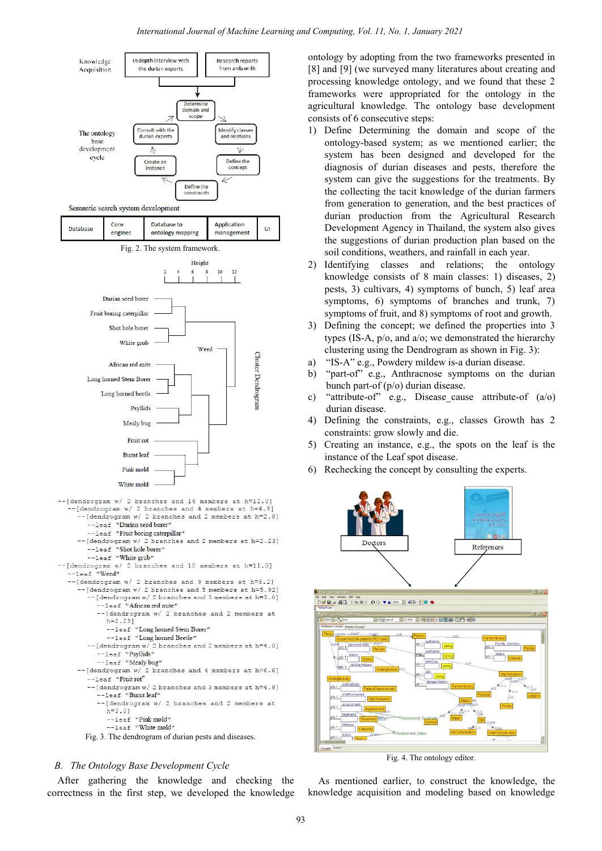

*d Computing, Vol. 11, No. 1, January 2021*<br>ontology by adopting from the two frameworks presented in<br>[8] and [9] (we surveyed many literatures about creating and<br>processing knowledge ontology, and we found that these 2<br>fr *d Computing, Vol. 11, No. 1, January 2021*<br>
ontology by adopting from the two frameworks presented in<br>
[8] and [9] (we surveyed many literatures about creating and<br>
processing knowledge ontology, and we found that these 2 *d Computing, Vol. 11, No. 1, January 2021*<br>
ontology by adopting from the two frameworks presented in<br>
[8] and [9] (we surveyed many literatures about creating and<br>
processing knowledge ontology, and we found that these 2 *frameworks were appropriated in* the two frameworks presented in [8] and [9] (we surveyed many literatures about creating and processing knowledge ontology, and we found that these 2 frameworks were appropriated for the o d Computing, Vol. 11, No. 1, January 2021<br>
ontology by adopting from the two frameworks presented in<br>
[8] and [9] (we surveyed many literatures about creating and<br>
processing knowledge ontology, and we found that these 2<br> d Computing, Vol. 11, No. 1, January 2021<br>
ontology by adopting from the two frameworks presented in<br>
[8] and [9] (we surveyed many literatures about creating and<br>
processing knowledge ontology, and we found that these 2<br> 1) Define Optical U. No. 1, January 2021<br>
1) Ontology by adopting from the two frameworks presented in<br>
1) and [9] (we surveyed many literatures about creating and<br>
processing knowledge ontology, and we found that these 2<br> mputing, *Vol. 11*, *No. 1*, *January* 2021<br>plogy by adopting from the two frameworks presented in<br>and [9] (we surveyed many literatures about creating and<br>ressing knowledge ontology, and we found that these 2<br>neworks were

- mputing, *Vol. 11*, *No. 1*, *January* 2021<br>plogy by adopting from the two frameworks presented in<br>and [9] (we surveyed many literatures about creating and<br>ressing knowledge ontology, and we found that these 2<br>neworks were mputing, *Vol. 11*, *No. 1, January* 2021<br>plogy by adopting from the two frameworks presented in<br>and [9] (we surveyed many literatures about creating and<br>ressing knowledge ontology, and we found that these 2<br>neworks were a mputing, *Vol. 11, No. 1, January 2021*<br>logy by adopting from the two frameworks presented in<br>and [9] (we surveyed many literatures about creating and<br>ressing knowledge ontology, and we found that these 2<br>neworks were appr blogy by adopting from the two frameworks presented in<br>and [9] (we surveyed many literatures about creating and<br>ressing knowledge ontology, and we found that these 2<br>neworks were appropriated for the ontology in the<br>cultur blogy by adopting from the two frameworks presented in<br>and [9] (we surveyed many literatures about creating and<br>ressing knowledge ontology, and we found that these 2<br>neworks were appropriated for the ontology in the<br>cultur and [9] (we surveyed many literatures about creating and<br>ressing knowledge ontology, and we found that these 2<br>neworks were appropriated for the ontology in the<br>cultural knowledge. The ontology base development<br>sists of 6 essing knowledge ontology, and we found that these 2<br>neworks were appropriated for the ontology in the<br>cultural knowledge. The ontology base development<br>sists of 6 consecutive steps:<br>Define Determining the domain and scope neworks were appropriated for the ontology in the<br>cultural knowledge. The ontology base development<br>sists of 6 consecutive steps:<br>Define Determining the domain and scope of the<br>ontology-based system, as we mentioned earlie cultural knowledge. The ontology base development<br>sists of 6 consecutive steps:<br>Define Determining the domain and scope of the<br>ontology-based system; as we mentioned earlier; the<br>system has been designed and developed for consists of 6 consecutive steps:<br>
1) Define Determining the domain and scope of the<br>
ontology-based system; as we mentioned earlier; the<br>
system has been designed and developed for the<br>
diagnosis of durian diseases and pes Define Determining the domain and scope of the<br>ontology-based system; as we mentioned earlier; the<br>system has been designed and developed for the<br>diagnosis of durian diseases and pests, therefore the<br>system can give the su ontology-based system; as we mentioned earlier; the<br>system has been designed and developed for the<br>diagnosis of durian diseases and pests, therefore the<br>system can give the suggestions for the treatments. By<br>the collecting system has been designed and developed for the diagnosis of durian diseases and pests, therefore the system can give the suggestions for the treatments. By the collecting the tacit knowledge of the durian farmers from gene diagnosis of durian diseases and pests, therefore the<br>system can give the suggestions for the treatments. By<br>the collecting the tacit knowledge of the durian farmers<br>from generation to generation, and the best practices o system can give the suggestions for the treatments. By<br>the collecting the tacit knowledge of the durian farmers<br>from generation to generation, and the best practices of<br>durian production from the Agricultural Research<br>Dev the collecting the tacit knowledge of the durian farmers<br>from generation to generation, and the best practices of<br>durian production from the Agricultural Research<br>Development Agency in Thailand, the system also gives<br>the s from generation to generation, and the best practices of<br>durian production from the Agricultural Research<br>Development Agency in Thailand, the system also gives<br>the suggestions of durian production plan based on the<br>soil c
- durian production from the Agricultural Research<br>
Development Agency in Thailand, the system also gives<br>
the suggestions of durian production plan based on the<br>
soil conditions, weathers, and rainfall in each year.<br>
2) Id Development Agency in Thailand, the system also gives<br>the suggestions of durian production plan based on the<br>soil conditions, weathers, and rainfall in each year.<br>2) Identifying classes and relations; the ontology<br>knowled the suggestions of durian production plan based on the<br>soil conditions, weathers, and rainfall in each year.<br>Identifying classes and relations; the ontology<br>knowledge consists of 8 main classes: 1) diseases, 2)<br>pests, 3) c soil conditions, weathers, and rainfall in each year.<br>
2) Identifying classes and relations; the ontology<br>
knowledge consists of 8 main classes: 1) diseases, 2)<br>
pests, 3) cultivars, 4) symptoms of bunch, 5) leaf area<br>
sy Identifying classes and relations; the<br>knowledge consists of 8 main classes: 1) d<br>pests, 3) cultivars, 4) symptoms of bunch, 5<br>symptoms, 6) symptoms of branches and<br>symptoms of fruit, and 8) symptoms of root an<br>Defining t knowledge consists of 8 main classes: 1) diseases, 2)<br>pests, 3) cultivars, 4) symptoms of bunch, 5) leaf area<br>symptoms, 6) symptoms of branches and trunk, 7)<br>symptoms of fruit, and 8) symptoms of root and growth.<br>3) Defin pests, 3) cultivars, 4) symptoms of bunch, 5) leaf area<br>symptoms, 6) symptoms of branches and trunk, 7)<br>symptoms of fruit, and 8) symptoms of root and growth.<br>Defining the concept; we defined the properties into 3<br>types (I
- symptoms, 6) symptoms of branches and trunk, 7)<br>symptoms of fruit, and 8) symptoms of root and growth.<br>3) Defining the concept; we defined the properties into 3<br>types (IS-A, p/o, and a/o; we demonstrated the hierarchy<br>clu symptoms of fruit, and 8) symptoms of root and growth.<br>Defining the concept; we defined the properties into 3<br>types (IS-A,  $p/o$ , and  $a/o$ ; we demonstrated the hierarchy<br>clustering using the Dendrogram as shown in Fig. 3): 3) Defining the concept; we defined the properties into 3<br>types (IS-A,  $p/o$ , and  $a/o$ ; we demonstrated the hierarchy<br>clustering using the Dendrogram as shown in Fig. 3):<br>a) "IS-A" e.g., Powdery mildew is-a durian disease.
- 
- 
- 
- 
- 
- 



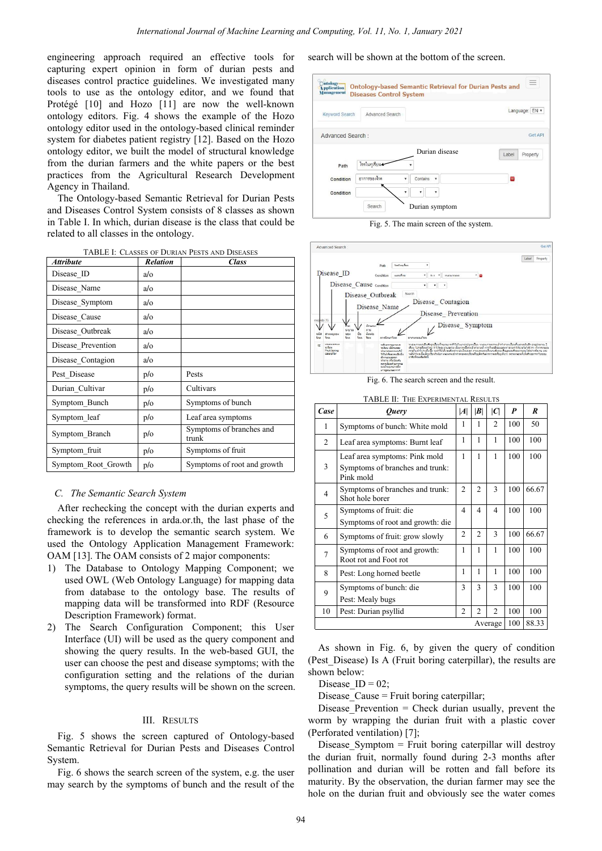International Journal of Machine Learning and Computing, Vol. 11, No. 1, Januar<br>engineering approach required an effective tools for search will be shown at the bott<br>capturing expert opinion in form of durian pests and<br>dis International Journal of Machine Learning and Computing, Vol. 11, No. 1, Januar<br>
engineering approach required an effective tools for search will be shown at the bott<br>
capturing expert opinion in form of durian pests and<br> International Journal of Machine Learning and Computing, Vol. 11, No. 1, Janu<br>
engineering approach required an effective tools for search will be shown at the bc<br>
capturing expert opinion in form of durian pests and<br>
dise International Journal of Machine Learning and Computing, Vol. 11, No. 1, Janua<br>
engineering approach required an effective tools for search will be shown at the bott<br>
capturing expert opinion in form of durian pests and<br>
d International Journal of Machine Learning and Computing, Vol. 11, No.<br>
engineering approach required an effective tools for search will be shown at<br>
capturing expert opinion in form of durian pests and<br>
diseases control pr International Journal of Machine Learning and Computing, Vol. 11, No. 1, Janu<br>
engineering approach required an effective tools for search will be shown at the b<br>
capturing expert opinion in form of durian pests and<br>
disea International Journal of Machine Learning and Computing, Vol. 11, No. 1, engineering approach required an effective tools for search will be shown at the capturing expert opinion in form of durian pests and diseases contro International Journal of Machine Learning and Computing, Vol. 11, No. 1, January experiency approach required an effective tools for search will be shown at the between the equivering expert opinion in form of durian pests International Journal of Machine Learning and Computing. Vol. 11, No. 1<br>
engineering approach required an effective tools for search will be shown at<br>
capturing expert opinion in form of durian pests and<br>
diseases control International Journal of Machine Learning and Computing, Vol. 11, No. 1, Januar<br>
engineering expert optimin in form of durian pests and will be shown at the bot<br>
capturing expert optimin in form of durian sets control prac International Journal of Machine Learning and Computing, Vol. 11, Ne<br>
engineering expert opinion in form of durian pests and<br>
diseases control practice guidelines. We investigated many<br>
tools to use as the ontology editor, engineering approach required an effective<br>capturing expert opinion in form of durian<br>diseases control practice guidelines. We investi;<br>tools to use as the ontology editor, and we<br>Protégé [10] and Hozo [11] are now the<br>ont gineering approach required an effective tools for search will be shown at the be thuring expert opinion in form of durian pests and<br>
seases control practice guidelines. We investigated many<br>
bls to use as the ontology edi Example approach in the consister of 8 classes as the consistered and Diseases Control System consists of 8 classes as shown at the Construction of the consister of the consister of the consister of the consister of the co Explaining Explanation and in the model of structural pession and the class that could be disease control particle guidelines. We investigated many<br>
Protégé [10] and Hozo [11] are now the well-known<br>
ontology editors. Fig. dresses to the ontology editor, and we found that<br>tools to use as the ontology editor, and we found that<br>Protégé [10] and Hozo [11] are now the well-known<br>ontology editors. Fig. 4 shows the example of the Hozo<br>ontology edi TABLE I: CLASSES OF DURIAN PESTS AND DISEASES<br>Disease JID<br>Disease Atmet<br>Disease Same and the video of structural knowledge<br>ractices from the Agricultural Research Development<br>Agency in Thailand.<br>The Ontology-based Semantic

|  | <b>TABLE I: CLASSES OF DURIAN PESTS AND DISEASES</b> |  |
|--|------------------------------------------------------|--|
|  |                                                      |  |

| $\overline{Attribute}$                                                                                                   | <b>Relation</b>          | <b>Class</b>                                                                                                                                                   |                                                       | Seatsweap<br>٠<br>Path                                                                                                                                                         |  |  |  |  |  |  |
|--------------------------------------------------------------------------------------------------------------------------|--------------------------|----------------------------------------------------------------------------------------------------------------------------------------------------------------|-------------------------------------------------------|--------------------------------------------------------------------------------------------------------------------------------------------------------------------------------|--|--|--|--|--|--|
| Disease ID                                                                                                               | $a/\alpha$               |                                                                                                                                                                | Disease ID                                            | $\bullet$ ls A<br>Condition<br>consumers.                                                                                                                                      |  |  |  |  |  |  |
| Disease Name                                                                                                             | $a/\alpha$               |                                                                                                                                                                |                                                       | Disease_Cause condition<br>$\bullet$ $\qquad$ $\bullet$<br>Search<br>Disease Outbreak                                                                                          |  |  |  |  |  |  |
| Disease Symptom                                                                                                          | $a/\alpha$               |                                                                                                                                                                |                                                       | Disease<br>Disease Name                                                                                                                                                        |  |  |  |  |  |  |
| Disease Cause                                                                                                            | $a/\alpha$               |                                                                                                                                                                | records (1)                                           | Diseas                                                                                                                                                                         |  |  |  |  |  |  |
| Disease Outbreak                                                                                                         | $a/\alpha$               |                                                                                                                                                                | vaupuora aire<br><b>TSA</b><br><b>Tea</b>             | Sever<br>53109<br>$n\gamma$<br>$\vec{u}$<br>6000<br><b>SED</b><br><b>Tre</b><br><b>Sse</b><br><b>Tea</b><br>การรักษาโรค<br>ennstraatse                                         |  |  |  |  |  |  |
| Disease Prevention                                                                                                       | $a/\alpha$               |                                                                                                                                                                | <b>WEIGHTER</b><br>02<br><b>vides</b><br>Fruit boring | หลั่นครากถูลานคล<br>หนอนเจาะและปันทัลงหนึ่ง<br>-<br>เพื่อน ใปจนยังคลใหญ่ ทำใ<br>เจาะค้นเช่าไปจนยังเนื้อ จะพ<br>เพรินาเพลนี้คนยังหรือนไก<br>ทเรียว เมืองเพรอย<br>visanssamas bi |  |  |  |  |  |  |
| Disease_Contagion                                                                                                        | $a/\alpha$               |                                                                                                                                                                |                                                       | to tumina ana facili<br>อาศัยพิธรรณีอณิสนี<br>ตัวหนอจอลลลา<br>ทำอาจ หรือป้องกัน<br>ผลทุนใจพลัวออกรขอ<br><b>NAMON TO ATTACH</b>                                                 |  |  |  |  |  |  |
| Pest Disease                                                                                                             | p/o                      | Pests                                                                                                                                                          |                                                       | <b>INTERSEUTER TATAS</b><br>Fig. 6. The search scro                                                                                                                            |  |  |  |  |  |  |
| Durian Cultivar                                                                                                          | p/o                      | Cultivars                                                                                                                                                      |                                                       |                                                                                                                                                                                |  |  |  |  |  |  |
| Symptom Bunch                                                                                                            | p/o                      | Symptoms of bunch                                                                                                                                              |                                                       | <b>TABLE II: THE EXPER</b>                                                                                                                                                     |  |  |  |  |  |  |
| Symptom leaf                                                                                                             | p/o                      | Leaf area symptoms                                                                                                                                             | Case                                                  | <i><b>Ouerv</b></i>                                                                                                                                                            |  |  |  |  |  |  |
| Symptom Branch                                                                                                           | p/o                      | Symptoms of branches and                                                                                                                                       | 1                                                     | Symptoms of bunch: White m                                                                                                                                                     |  |  |  |  |  |  |
| Symptom fruit                                                                                                            | p/o                      | trunk<br>Symptoms of fruit                                                                                                                                     | $\overline{2}$                                        | Leaf area symptoms: Burnt lea                                                                                                                                                  |  |  |  |  |  |  |
|                                                                                                                          |                          |                                                                                                                                                                |                                                       | Leaf area symptoms: Pink mo                                                                                                                                                    |  |  |  |  |  |  |
| Symptom Root Growth                                                                                                      | p/o                      | Symptoms of root and growth                                                                                                                                    | 3                                                     | Symptoms of branches and tru<br>Pink mold                                                                                                                                      |  |  |  |  |  |  |
| C. The Semantic Search System                                                                                            |                          |                                                                                                                                                                | $\overline{4}$                                        | Symptoms of branches and tru<br>Shot hole borer                                                                                                                                |  |  |  |  |  |  |
| After rechecking the concept with the durian experts and<br>checking the references in arda.or.th, the last phase of the | $\overline{\phantom{0}}$ | Symptoms of fruit: die<br>Symptoms of root and growth                                                                                                          |                                                       |                                                                                                                                                                                |  |  |  |  |  |  |
| framework is to develop the semantic search system. We                                                                   | 6                        | Symptoms of fruit: grow slow                                                                                                                                   |                                                       |                                                                                                                                                                                |  |  |  |  |  |  |
| used the Ontology Application Management Framework:<br>OAM [13]. The OAM consists of 2 major components:                 | $\tau$                   | Symptoms of root and growth<br>Root rot and Foot rot                                                                                                           |                                                       |                                                                                                                                                                                |  |  |  |  |  |  |
| $\mathbf{D}$                                                                                                             |                          | The Database to Ontology Mapping Component; we                                                                                                                 | 8                                                     | Pest: Long horned beetle                                                                                                                                                       |  |  |  |  |  |  |
|                                                                                                                          |                          | used OWL (Web Ontology Language) for mapping data<br>from database to the ontology base. The results of<br>manning data will be transformed into RDF (Resource | 9                                                     | Symptoms of bunch: die<br>Pest: Mealy bugs                                                                                                                                     |  |  |  |  |  |  |

- 
- The rechecking the concept with the durian experts and<br>
show to the king the references in arda.or.th, the last phase of the<br>
lework is to develop the semantic search system. We<br>
lework is to develop the semantic search s User an end of the symptoms of mathemolynoms of the symptoms of not and growth<br>
it the Ontology Application Management Framework:<br>
It the Ontology Application Management Framework:<br>
It is to develop the semantic search sy Example the State of the State of the State of State of State of State of State of State of Melicular of the Catalogne of the State of State of Melicular of the Database to Ontology Language) for mapping component; we can FREE CONSTRINGT SURVED INTERENT STRINGT SURVED INTEREST AND RESULTS SURFACT AND STRINGT STRINGT STRINGT STRINGT STRINGT STRINGT STRINGT STRINGT STRINGT STRINGT STRINGT STRINGT STRINGT STRINGT AND SURFACT ON THE SCREEN CONT Ontology Mapping Component, we<br>
Dutology Language) for mapping data<br>
the ontology base. The results of<br>
be transformed into RDF (Resource<br>
work) format.<br>
figuration Component; this User<br>
be used as the query component and<br> From database to the ontology-base. The results of<br>
mapping data will be transformed into RDF (Resource<br>
Description Framework) format.<br>
The Search Configuration Component; this User<br>
Interface (UI) will be used as the qu mapping data will be transformed into RDF (Resource<br>
Description Framework) format.<br>
2) The Search Configuration Component; this User<br>
Interface (UI) will be used as the query component and<br>
shown in Fig. 6, b<br>
user can c The Search Configuration Component; this User<br>
Interface (UI) will be used as the query component and<br>
shown in Fig. 6, by g<br>
user can choose the pest and disease symptoms; with the user can choose the pest and disease sy Interface (UI) will be used as the query component and<br>
shown in Fig. 6, by gi<br>
user can choose the pest and disease symptoms; with the<br>
configuration setting and the relations of the during<br>
symptoms, the query results wi





| Disease Outbreak                                                                                                                                                                                                                                                                                                                                                                                   | a/o |                                                                                                                                                                                                            | Disease_Symptom                                                |                                                                                    |                |                |                |                  |                  |
|----------------------------------------------------------------------------------------------------------------------------------------------------------------------------------------------------------------------------------------------------------------------------------------------------------------------------------------------------------------------------------------------------|-----|------------------------------------------------------------------------------------------------------------------------------------------------------------------------------------------------------------|----------------------------------------------------------------|------------------------------------------------------------------------------------|----------------|----------------|----------------|------------------|------------------|
| Disease Prevention                                                                                                                                                                                                                                                                                                                                                                                 | a/o |                                                                                                                                                                                                            |                                                                | warauwana<br>maax<br>Fruit boring<br>caterpillar<br>ทุเรียน เมื่อทบรอย             |                |                |                |                  |                  |
| Disease_Contagion                                                                                                                                                                                                                                                                                                                                                                                  | a/o |                                                                                                                                                                                                            |                                                                | ทำลาดของทนลา ได้<br>ไข้ในที่ข้อควกเขียนั้ง<br>ตัวหนอจะอุดงาก<br>ท่างาน หรือน้องกัน |                |                |                |                  |                  |
| Pest Disease                                                                                                                                                                                                                                                                                                                                                                                       | p/O | Pests                                                                                                                                                                                                      |                                                                |                                                                                    |                |                |                |                  |                  |
| Durian Cultivar                                                                                                                                                                                                                                                                                                                                                                                    | p/o | Cultivars                                                                                                                                                                                                  | Fig. 6. The search screen and the result.                      |                                                                                    |                |                |                |                  |                  |
| Symptom Bunch                                                                                                                                                                                                                                                                                                                                                                                      | p/O | Symptoms of bunch                                                                                                                                                                                          |                                                                | TABLE II: THE EXPERIMENTAL RESULTS                                                 |                |                |                |                  |                  |
| Symptom_leaf                                                                                                                                                                                                                                                                                                                                                                                       | p/o | Leaf area symptoms                                                                                                                                                                                         | Case                                                           | <b>Ouery</b>                                                                       |                | A    B         | C              | $\boldsymbol{P}$ | R                |
| Symptom Branch                                                                                                                                                                                                                                                                                                                                                                                     | p/o | Symptoms of branches and<br>trunk                                                                                                                                                                          | 2                                                              | Symptoms of bunch: White mold<br>Leaf area symptoms: Burnt leaf                    | -1<br>-1       | -1<br>-1       | 2<br>-1        | 100<br>100       | 50<br>100        |
| Symptom fruit                                                                                                                                                                                                                                                                                                                                                                                      | p/o | Symptoms of fruit                                                                                                                                                                                          |                                                                | Leaf area symptoms: Pink mold                                                      |                |                | -1             | 100              | 100              |
| Symptom Root Growth                                                                                                                                                                                                                                                                                                                                                                                | p/o | Symptoms of root and growth                                                                                                                                                                                | 3                                                              | Symptoms of branches and trunk:<br>Pink mold                                       |                |                |                |                  |                  |
| C. The Semantic Search System                                                                                                                                                                                                                                                                                                                                                                      |     | $\overline{4}$                                                                                                                                                                                             | Symptoms of branches and trunk:<br>Shot hole borer             | $\boldsymbol{2}$                                                                   | $\overline{2}$ | $\overline{3}$ | 100            | 66.67            |                  |
|                                                                                                                                                                                                                                                                                                                                                                                                    |     | After rechecking the concept with the durian experts and                                                                                                                                                   | 5                                                              | Symptoms of fruit: die                                                             | $\overline{4}$ | $\overline{4}$ | $\overline{4}$ | 100              | 100              |
| checking the references in arda.or.th, the last phase of the<br>framework is to develop the semantic search system. We<br>used the Ontology Application Management Framework:<br>OAM [13]. The OAM consists of 2 major components:<br>1) The Database to Ontology Mapping Component; we<br>used OWL (Web Ontology Language) for mapping data<br>from database to the ontology base. The results of |     |                                                                                                                                                                                                            | Symptoms of root and growth: die                               |                                                                                    |                |                |                |                  |                  |
|                                                                                                                                                                                                                                                                                                                                                                                                    |     | 6                                                                                                                                                                                                          | Symptoms of fruit: grow slowly                                 | $\overline{2}$                                                                     | 2              | 3              | 100            | 66.67            |                  |
|                                                                                                                                                                                                                                                                                                                                                                                                    |     |                                                                                                                                                                                                            | Symptoms of root and growth:                                   | 1                                                                                  |                | -1             | 100            | 100              |                  |
|                                                                                                                                                                                                                                                                                                                                                                                                    |     |                                                                                                                                                                                                            | Root rot and Foot rot                                          | 1                                                                                  | -1             | 1              | 100            | 100              |                  |
|                                                                                                                                                                                                                                                                                                                                                                                                    |     | 8                                                                                                                                                                                                          | Pest: Long horned beetle                                       |                                                                                    |                |                |                |                  |                  |
|                                                                                                                                                                                                                                                                                                                                                                                                    |     | 9                                                                                                                                                                                                          | Symptoms of bunch: die<br>Pest: Mealy bugs                     | 3                                                                                  | 3              | $\overline{3}$ | 100            | 100              |                  |
|                                                                                                                                                                                                                                                                                                                                                                                                    |     | mapping data will be transformed into RDF (Resource                                                                                                                                                        | 10                                                             | Pest: Durian psyllid                                                               | $\overline{2}$ | 2              | $\overline{2}$ | 100              | 100              |
| Description Framework) format.<br>2)                                                                                                                                                                                                                                                                                                                                                               |     | The Search Configuration Component; this User                                                                                                                                                              |                                                                |                                                                                    |                |                | Average        |                  | $100 \mid 88.33$ |
| Interface (UI) will be used as the query component and<br>showing the query results. In the web-based GUI, the<br>user can choose the pest and disease symptoms; with the<br>configuration setting and the relations of the durian<br>symptoms, the query results will be shown on the screen.                                                                                                     |     | As shown in Fig. 6, by given the query of condition<br>(Pest Disease) Is A (Fruit boring caterpillar), the results are<br>shown below:<br>Disease $ID = 02$ ;<br>Disease Cause = Fruit boring caterpillar; |                                                                |                                                                                    |                |                |                |                  |                  |
| <b>III. RESULTS</b>                                                                                                                                                                                                                                                                                                                                                                                |     | Disease Prevention = Check durian usually, prevent the<br>worm by wrapping the durian fruit with a plastic cover                                                                                           |                                                                |                                                                                    |                |                |                |                  |                  |
|                                                                                                                                                                                                                                                                                                                                                                                                    |     | (Perforated ventilation) [7];                                                                                                                                                                              |                                                                |                                                                                    |                |                |                |                  |                  |
| Fig. 5 shows the screen captured of Ontology-based<br>Semantic Retrieval for Durian Pests and Diseases Control                                                                                                                                                                                                                                                                                     |     | Disease Symptom = Fruit boring caterpillar will destroy<br>the durian fruit, normally found during 2-3 months after                                                                                        |                                                                |                                                                                    |                |                |                |                  |                  |
| System.<br>Fig. 6 shows the search screen of the system, e.g. the user                                                                                                                                                                                                                                                                                                                             |     | pollination and durian will be rotten and fall before its                                                                                                                                                  |                                                                |                                                                                    |                |                |                |                  |                  |
|                                                                                                                                                                                                                                                                                                                                                                                                    |     |                                                                                                                                                                                                            | moturity. Dy the eleccuration, the during formeon move can the |                                                                                    |                |                |                |                  |                  |

Pest: Mealy bugs<br>
10 Pest: Durian psyllid 2 2 2 100 100<br>
Average 100 88.33<br>
As shown in Fig. 6, by given the query of condition<br>
est\_Disease Is A (Fruit boring caterpillar), the results are<br>
own below:<br>
Disease\_ID = 02;<br> 10 Pest: Durian psyllid 2 2 2 10 100<br>Average 100 88.33<br>As shown in Fig. 6, by given the query of condition<br>(Pest\_Disease) Is A (Fruit boring caterpillar), the results are<br>shown below:<br>Disease\_ID = 02;<br>Disease\_Cause = Fruit Average 100 88.33<br>As shown in Fig. 6, by given the query of condition<br>(Pest\_Disease) Is A (Fruit boring caterpillar), the results are<br>shown below:<br>Disease\_ID = 02;<br>Disease\_Cause = Fruit boring caterpillar;<br>Disease\_Preventi As shown in Fig. 6, by given the query of condition (Pest\_Disease) Is A (Fruit boring caterpillar), the results are shown below:<br>Disease\_ID = 02;<br>Disease\_Cause = Fruit boring caterpillar;<br>Disease\_Cause = Fruit boring cate As shown in Fig. 6, by given the query of condition<br>(Pest\_Disease) Is A (Fruit boring caterpillar), the results are<br>shown below:<br>Disease\_ID = 02;<br>Disease\_Cause = Fruit boring caterpillar;<br>Disease\_Prevention = Check durian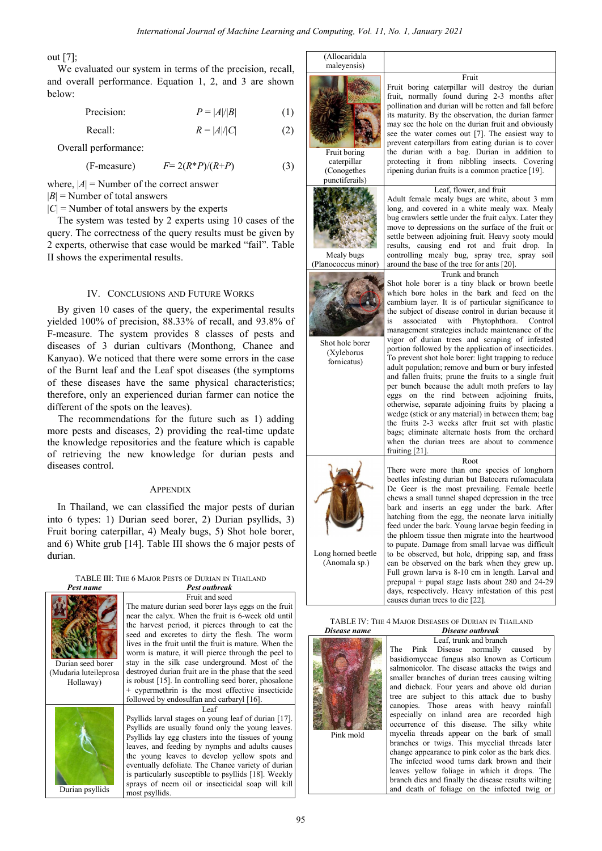International Journal<br>
out [7];<br>
We evaluated our system in terms of th<br>
and overall performance. Equation 1, 2,<br>
below: below: International Journal of Mack<br>
t [7];<br>
We evaluated our system in terms of the precision<br>
d overall performance. Equation 1, 2, and 3<br>
low:<br>
Precision:<br>  $P = |A|/|B|$ <br>
Recall:<br>  $R = |A|/|C|$ <br>
Overall performance:<br>
(F-measure) out [7];<br>
We evaluated our system in terms of the precision, recall,<br>
and overall performance. Equation 1, 2, and 3 are shown<br>
below:<br>
Precision:<br>
Precision:<br>
Precision:<br>
Precision:<br>
Precision:<br>
Precision:<br>
Precision:<br>
Pr out [7];<br>
We evaluated our system in terms of the precision, recall<br>
and overall performance. Equation 1, 2, and 3 are shown<br>
below:<br>
Precision:<br>
P =  $|A|/|B|$  (1<br>
Recall:<br>
Recall:<br>  $R = |A|/|C|$  (2<br>
Overall performance:<br>
(

Recall: 
$$
R = |A|/|C|
$$
 (2)

out [*I*];<br>
We evaluated our system in terms of the precision, recall,<br>
and overall performance. Equation 1, 2, and 3 are shown<br>
below:<br>
Precision:<br>
Precision:<br>
Precision:<br>
Precision:<br>
Precision:<br>
Precision:<br>
Precision:<br> Precision:  $P = |A|/|B|$  (1)<br>
Recall:  $R = |A|/|C|$  (2)<br>
Overall performance:<br>
(F-measure)  $F = 2(R^*P)/(R+P)$  (3)<br>
where,  $|A|$  = Number of the correct answer<br>  $|B|$  = Number of total answers<br>  $|C|$  = Number of total answers<br>
Th performance:<br>  $F=2(R^*P)/(R+P)$  (3)<br>  $=$  Number of the correct answer<br>
there of total answers<br>
then was tested by 2 experts using 10 cases of the<br>
e correctness of the query results must be given by<br>
otherwise that case woul

The system was tested by 2 experts using 10 cases of the<br>
query. The correctness of the query results must be given by<br>
2 experts, otherwise that case would be marked "fail". Table<br>
II shows the experimental results.<br>
IV. query. The correctness of the query results must be given by<br>
2 experts, otherwise that case would be marked "fail". Table<br>
II shows the experimental results.<br>
IV. CONCLUSIONS AND FUTURE WORKS<br>
By given 10 cases of the que Lexperts, otherwise that case would be marked "fail". Table<br>
II shows the experimental results.<br>
IV. CONCLUSIONS AND FUTURE WORKS<br>
By given 10 cases of the query, the experimental results<br>
(Plancococus minor) around the b II shows the experimental results.<br>
IV. CONCLUSIONS AND FUTURE WORKS<br>
By given 10 cases of the query, the experimental results<br>
yielded 100% of precision, 88.33% of recall, and 93.8% of<br>
F-measure. The system provides 8 cl TV. CONCLUSIONS AND FUTURE WORKS<br>By given 10 cases of the query, the experimental results<br>alded 100% of precision, 88.33% of recall, and 93.8% of<br>measure. The system provides 8 classes of pests and<br>the Burnt leaf and the IV. CONCLUSIONS AND FUTURE WORKS<br>
By given 10 cases of the query, the experimental results<br>
yielded 100% of precision, 88.33% of recall, and 93.8% of<br>
F-measure. The system provides 8 classes of pests and<br>
diseases of 3 d TV. CONCLUSIONS AND FUTURE WORKS<br>
By given 10 cases of the query, the experimental results<br>
yielded 100% of precision, 88.33% of recall, and 93.8% of<br>
diseases of 3 durina cultivars (Monthong, Channel of Burnal cultivars ( By given 10 cases of the query, the experimental results<br>
yielded 100% of precision, 88.33% of recall, and 93.8% of<br>
F-measure. The system provides 8 classes of pests and<br>
diseases of 3 durian cultivars (Monthong, Chanee a yielded 100% of precision, 88.33% of recall, F-measure. The system provides 8 classes diseases of 3 durian cultivars (Monthong, Kanyao). We noticed that there were some error of the Burnt leaf and the Leaf spot diseases (t

# **APPENDIX**

durian. Thailand, we can classified the major pests of durian<br>6 types: 1) Durian seed borer, 2) Durian psyllids, 3)<br>boring caterpillar, 4) Mealy bugs, 5) Shot hole borer,<br>5) White grub [14]. Table III shows the 6 major pests of<br>n.





TABLE IV: THE 4 MAJOR DISEASES OF DUI<br>
SERIGE OF DUISEAGES OF DUISEAGES OF DUISEAGES OF LEAT, trunk at<br>
The Pink Disease of Leaf, trunk at<br>
saidiomyceae fungus al<br>
salmonicolor. The diseases<br>
smaller branches of duria<br>
and Separation 19 and 200 and 200 and 200 and 200 and 200 and 200 and 200 and 200 and 200 and 200 and 200 and 200 and 200 and 200 and 200 and 200 and 200 and 200 and 200 and 200 and 200 and 200 and 200 and 200 and 200 and 200 espectively. Indeed in the spectrom of this peak<br>auses durian trees to die [22].<br>
I MAJOR DISEASES OF DURIAN IN THAILAND<br>
Disease outbreak<br>
Leaf, trunk and branch<br>
The Pink Disease normally caused by<br>
basidiomyceae fungus MAJOR DISEASES OF DURIAN IN THAILAND<br> **Disease outbreak**<br>
Leaf, trunk and branch<br>
The Pink Disease normally caused by<br>
basidiomyceae fungus also known as Corticum<br>
salmonicolor. The disease attacks the twigs and<br>
smaller **MAJOR DISEASES OF DURIAN IN THAILAND**<br> **Disease outbreak**<br>
Leaf, trunk and branch<br>
The Pink Disease normally caused by<br>
basidiomyceae fungus also known as Corticum<br>
salmonicolor. The disease attacks the twigs and<br>
smaller MAJOR DISEASES OF DURIAN IN HAILAND<br> **Disease outbreak**<br>
Leaf, trunk and branch<br>
The Pink Disease normally caused by<br>
basidiomycean eingus also known as Corticum<br>
basilmonicolor. The disease attacks the twigs and<br>
smaller **Example 12**<br> **Example 15**<br>
Leaf, trunk and branch<br>
Leaf, trunk and branch<br>
basidiomyceae fungus also known as Corticum<br>
salmonicolor. The disease attacks the twigs and<br>
smaller branches of durian trees causing wilting<br>
an Leaf, trunk and branch<br>The Pink Disease normally caused by<br>basidiomyceae fungus also known as Corticum<br>salmonicolor. The disease attacks the twigs and<br>amaller branches of durian areas causing withing<br>and dieback. Four year The Pink Disease normally caused by<br>basidiomyceae fungus also known as Corticum<br>salmonicolor. The disease attacks the twigs and<br>smaller branches of durian trees causing wilting<br>and dieback. Four years and above old durian<br> basidiomyceae fungus also known as Corticum<br>salmonicolor. The disease attacks the twigs and<br>smaller branches of durian trees causing wilting<br>and dieback. Four years and above old durian<br>tree are subject to this attack due salmonicolor. The disease attacks the twigs and<br>smaller branches of durian trees causing wilting<br>and dieback. Four years and above old durian<br>tree are subject to this attack due to bushy<br>canopies. Those areas with heavy ra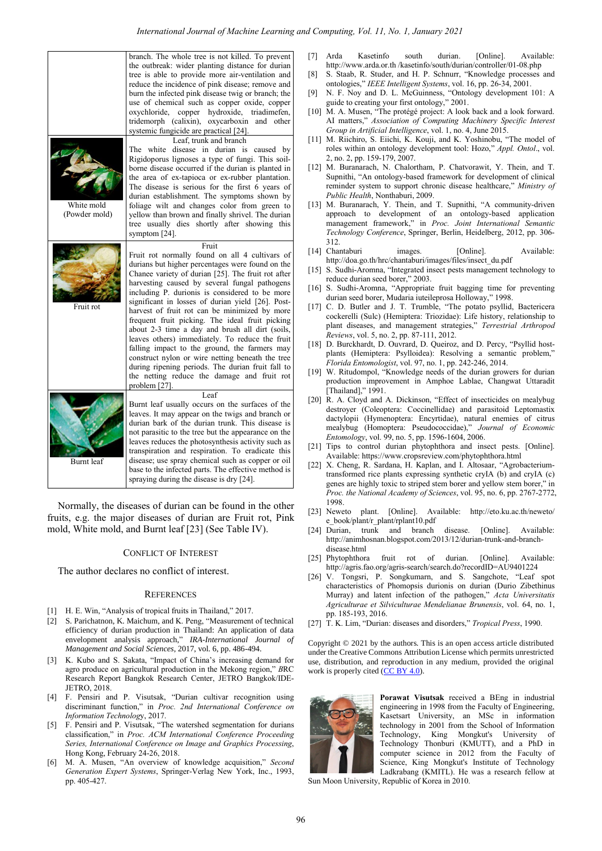![](_page_4_Figure_1.jpeg)

Froc. the *P*<br>
Froc. the mainting and Burnt leads are Fruit rot, Pink<br>
fruits, e.g. the major diseases of durian are Fruit rot, Pink<br>
mold, White mold, and Burnt leaf [23] (See Table IV).<br>
[24] Durian,<br>
tup://anim<br>
CONFLIC

## **REFERENCES**

- 
- [2] S. Parichatnon, K. Maichum, and K. Peng, "Measurement of technical efficiency of durian production in Thailand: An application of data envelopment analysis approach," *IRA-International Journal of Management and Social Sciences*, 2017, vol. 6, pp. 486-494.
- CONFLICT OF INTEREST<br>
The author declares no conflict of interest.<br>
The author declares no conflict of interest.<br>
I25] Phytophthora fruit relations of Phono<br>
REFERENCES<br>
II H. E. Win, "Analysis of tropical fruits in Thail CONFLICT OF INTEREST<br>
alsease.html<br>
alternation distance in the Meridian School interest.<br>
alternation of data<br>
H. E. Win, "Analysis of tropical fruits in Thailand," 2017.<br>
Alternation and laternation in Thailand. An appli Examples and thor declares no conflict of interest.<br>
Interval and the properties the three terms of the terms of the terms of the terms of the terms of the terms of the terms of technical<br>
H. E. Win, "Analysis of tropical REFERENCES<br>
REFERENCES<br>
H. E. Win, "Analysis of tropical fruits in Thaila<br>
S. Parichatnon, K. Maichum, and K. Peng, "Me<br>
efficiency of durian production in Thailand: *i*<br>
envelopment analysis approach," IRA-Inter<br> *Managem* EXERENCES (19 V. Tongsri, P. Son<br>
REFERENCES characteristics of Photo<br>
19 H. E. Win, "Analysis of tropical fruits in Thailand," 2017.<br>
19 Agriculturae et Silvicu.<br>
19 Agriculturae et Silvicu.<br>
19 Agriculturae et Silvicu.<br> REFERENCES<br>
H. E. Win, "Analysis of tropical fruits in Thailand," 2017.<br> *Mariculturae et Silviculture*<br>
S. Parichatnon, K. Maichum, and K. Peng, "Measurement of technical<br>
efficiency of durian production in Thailand: An a **INCRETATIVE THE SET EXECTS:**<br> **IFFORE THE SET ASSET INTERT IS THE USE THE SET AND INDIVIDUAL S. Parichatnon, K. Maichum, and K. Peng, "Measurement of tectefficiency of durian production in Thailand: An application of enve** [1] H. E. Win, "Analysis of tropical fruits in Thailand," 2017.<br>
[2] S. Parichatnon, K. Maichum, and K. Peng, "Measurement of technical [27] T. K. Lim, "Durian: denvelopment analysis approach," *IRA-International Journal* E. Win, Haliysis or upperal runs in Trialiand, 2017.<br>
S. Parichation, K. Maichum, and K. Peng, "Measurement of technical [27] T. K. Lim, "Duria<br>
efficiency of durian production in Thailand: An application of data<br>
envelopm *S. Facinalion, K. Watelinin, and K. Peng, Weasterlein of ethnical and Conference of data* envelopment analysis approach," *IRA-International Journal of* Copyright © 2021 by *Management and Social Sciences,* 2017, vol. 6, Exampler analysis approach, *IKA-International Journal of*<br>
Management and Social Sciences, 2017, vol. 6, pp. 486-494.<br>
[3] K. Kubo and S. Sakata, "Impact of China's increasing demand for<br>
user the Creative Conservation an *Generation Expert Systems*, Springer-Verlag New York, Inc., 1993,<br> *Generation AS Sakata*, "Impact of China's increasing demand for use, distribution, and reproduce on agricultural production in the Mekong region," *BRC*
- 
- K. Kubo and S. Sakata, "Impact of Chuagro produce on agricultural production in Research Report Bangkok Research Cen JETRO, 2018.<br>F. Pensiri and P. Visutsak, "Durian F. Pensiri and P. Visutsak, "Durian discriminant functio
- 
- 
- 
- 
- 
- 
- 
- 
- 
- 
- 
- 
- 
- 
- 
- 
- 1998.<br>
[23] Neweto plant. [Online]. Available: http://eto.ku.ac.th/neweto/ Entomology, vol. 99, no. 5, pp. 1596-1604, 2006.<br>
[21] Tips to control durian phytophthora and insect pests. [Online].<br>
Available: https://www.cropsreview.com/phytophthora.html<br>
[22] X. Cheng, R. Sardana, H. Kaplan, and I. Available: https://www.cropsreview.com/phytophthora.html<br>
[22] X. Cheng, R. Sardana, H. Kaplan, and I. Altosaar, "Agrobacterium-<br>
transformed rice plants expressing synthetic cryIA (b) and cryIA (c)<br>
genes are highly toxic
- e\_book/plant/r\_plant/rplant10.pdf
- http://animhosnan.blogspot.com/2013/12/durian-trunk-and-branchdisease.html<br>[25] Phytophthora fruit rot of durian.
- http://agris.fao.org/agris-search/search.do?recordID=AU9401224
- X. Cheng, R. Sardana, H. Kaplan, and I. Altosaar, "Agrobacterium-<br>transformed rice plants expressing synthetic cryIA (b) and cryIA (c)<br>genes are highly toxic to striped stem borer and yellow stem borer," in<br>Proc. the Natio transformed rice plants expressing synthetic crylA (b) and crylA (c)<br>genes are highly toxic to striped stem borer and yellow stem borer," in<br>Proc. the National Academy of Sciences, vol. 95, no. 6, pp. 2767-2772,<br>1998.<br>Newe genes are highly toxic to striped stem borer and yellow stem borer," in<br> *Proc. the National Academy of Sciences*, vol. 95, no. 6, pp. 2767-2772,<br>
1998.<br>
Neweto plant. [Online]. Available: http://eto.ku.ac.th/neweto/<br>
e\_bo *Proc. the National Academy of Sciences,* vol. 95, no<br>1998.<br>
Neweto plant. [Online]. Available: http://et<br>
e\_book/plant/r\_plant/rplant10.pdf<br>
b\_trin, trunk and branch disease. [Online].<br>
http://animhosnan.blogspot.com/2013 1998.<br>
[23] Neweto plant. [Online]. Available: http://eto.ku.ac.th/neweto/<br>
e\_book/plant/r\_plant/rplant10.pdf<br>
[24] Durian, trunk and branch disease. [Online]. Available:<br>
http://animhosnan.blogspot.com/2013/12/durian-trun
- 

Copyright © 2021 by the authors. This is an open access article distributed under the Creative Commons Attribution License which permits unrestricted use, distribution, and reproduction in any medium, provided the original work is properly cited  $(CC BY 4.0)$ .

![](_page_4_Picture_34.jpeg)

FranceComposis durionis on durian (Durio Zibethinus<br>
france france france a Bendeem," *Acta Universitatis*<br> *Sliviculturae Mendelianae Brunensis*, vol. 64, no. 1,<br> *Sliviculturae Mendelianae Brunensis*, vol. 64, no. 1,<br>
1 f Phomopsis durionis on durian (Durio Zibethinus<br>tent infection of the pathogen," Acta Universitatis<br>Silviculturae Mendelianae Brunensis, vol. 64, no. 1,<br>6.<br>ian: diseases and disorders," *Tropical Press*, 1990.<br>the author Extra metrican of the pathogen," Acta Universitatis<br>
Silviculturae Mendelianae Brunensis, vol. 64, no. 1,<br>
16.<br>
ian: diseases and disorders," Tropical Press, 1990.<br>
the authors. This is an open access article distributed<br> Silviculturae Mendelianae Brunensis, vol. 64, no. 1, 6.<br>
16.<br>
ian: diseases and disorders," *Tropical Press*, 1990.<br>
the authors. This is an open access article distributed<br>
mmons Attribution License which permits unrestr 16.<br>
ian: diseases and disorders," *Tropical Press*, 1990.<br>
the authors. This is an open access article distributed<br>
mmons Attribution License which permits unrestricted<br>
reproduction in any medium, provided the original<br> Let a a more in the authors. This is an open access article distributed<br>the authors. This is an open access article distributed<br>reproduction License which permits unrestricted<br>reproduction in any medium, provided the orig the authors. This is an open access article distributed<br>reproduction in any medium, provided the original<br>(CC BY 4.0).<br>**Porawat Visutsak** received a BEng in industrial<br>engineering in 1998 from the Faculty of Engineering,<br>K the authors. This is an open access article distributed<br>mmons Attribution License which permits unrestricted<br>reproduction in any medium, provided the original<br>(CC BY 4.0).<br>**Porawat Visutsak** received a BEng in industrial<br>e mmons Attribution License which permits unrestricted<br>reproduction in any medium, provided the original<br>(CC BY 4.0).<br>**Porawat Visutsak** received a BEng in industrial<br>engineering in 1998 from the Faculty of Engineering,<br>Kase use, distribution, and reproduction in any medium, provided the original<br>work is properly cited (CC BY 4.0).<br> **Porawat Visutsak** received a BEng in industrial<br>
engineering in 1998 from the Faculty of Engineering,<br>
Kasetsar